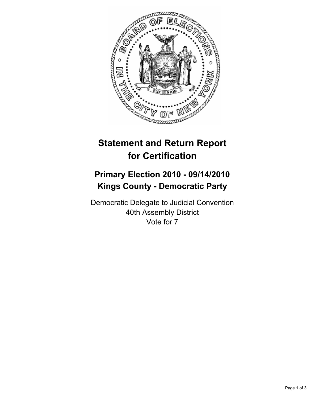

## **Statement and Return Report for Certification**

## **Primary Election 2010 - 09/14/2010 Kings County - Democratic Party**

Democratic Delegate to Judicial Convention 40th Assembly District Vote for 7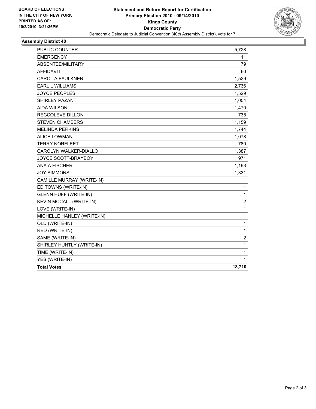

## **Assembly District 40**

| PUBLIC COUNTER               | 5,728            |
|------------------------------|------------------|
| <b>EMERGENCY</b>             | 11               |
| ABSENTEE/MILITARY            | 79               |
| <b>AFFIDAVIT</b>             | 60               |
| <b>CAROL A FAULKNER</b>      | 1,529            |
| <b>EARL L WILLIAMS</b>       | 2,736            |
| <b>JOYCE PEOPLES</b>         | 1,529            |
| <b>SHIRLEY PAZANT</b>        | 1,054            |
| <b>AIDA WILSON</b>           | 1,470            |
| <b>RECCOLEVE DILLON</b>      | 735              |
| <b>STEVEN CHAMBERS</b>       | 1,159            |
| <b>MELINDA PERKINS</b>       | 1,744            |
| <b>ALICE LOWMAN</b>          | 1,078            |
| <b>TERRY NORFLEET</b>        | 780              |
| <b>CAROLYN WALKER-DIALLO</b> | 1,387            |
| <b>JOYCE SCOTT-BRAYBOY</b>   | 971              |
| ANA A FISCHER                | 1,193            |
| <b>JOY SIMMONS</b>           | 1,331            |
| CAMILLE MURRAY (WRITE-IN)    | 1                |
| ED TOWNS (WRITE-IN)          | 1                |
| <b>GLENN HUFF (WRITE-IN)</b> | 1                |
| KEVIN MCCALL (WRITE-IN)      | $\boldsymbol{2}$ |
| LOVE (WRITE-IN)              | 1                |
| MICHELLE HANLEY (WRITE-IN)   | 1                |
| OLD (WRITE-IN)               | $\mathbf 1$      |
| RED (WRITE-IN)               | 1                |
| SAME (WRITE-IN)              | 2                |
| SHIRLEY HUNTLY (WRITE-IN)    | 1                |
| TIME (WRITE-IN)              | $\mathbf{1}$     |
| YES (WRITE-IN)               | 1                |
| <b>Total Votes</b>           | 18,710           |